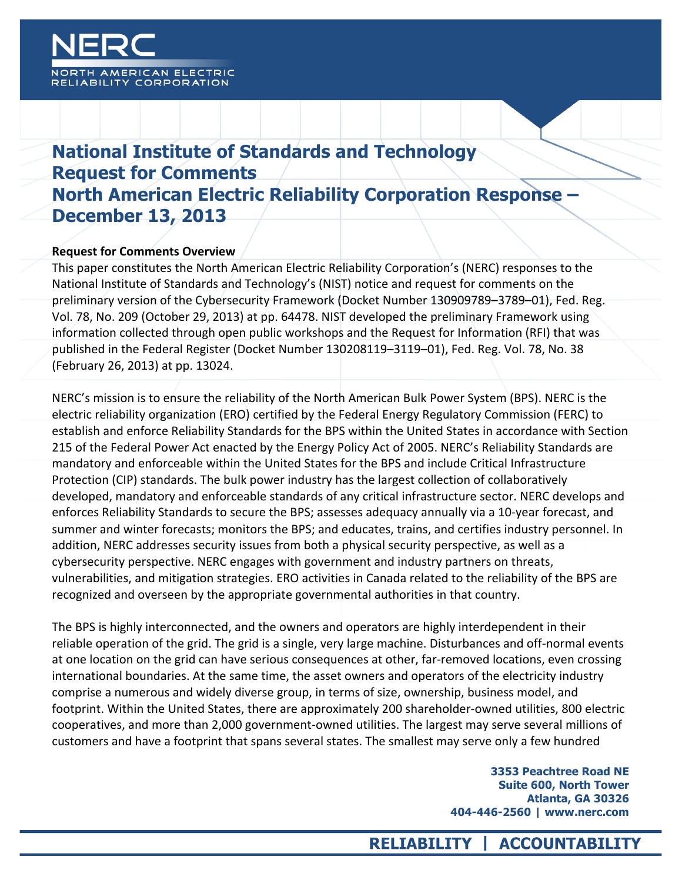

## **National Institute of Standards and Technology Request for Comments North American Electric Reliability Corporation Response – December 13, 2013**

#### **Request for Comments Overview**

This paper constitutes the North American Electric Reliability Corporation's (NERC) responses to the National Institute of Standards and Technology's (NIST) notice and request for comments on the preliminary version of the Cybersecurity Framework (Docket Number 130909789-3789-01), Fed. Reg. Vol. 78, No. 209 (October 29, 2013) at pp. 64478. NIST developed the preliminary Framework using information collected through open public workshops and the Request for Information (RFI) that was published in the Federal Register (Docket Number 130208119-3119-01), Fed. Reg. Vol. 78, No. 38 (February 26, 2013) at pp. 13024.

NERC's mission is to ensure the reliability of the North American Bulk Power System (BPS). NERC is the electric reliability organization (ERO) certified by the Federal Energy Regulatory Commission (FERC) to establish and enforce Reliability Standards for the BPS within the United States in accordance with Section 215 of the Federal Power Act enacted by the Energy Policy Act of 2005. NERC's Reliability Standards are mandatory and enforceable within the United States for the BPS and include Critical Infrastructure Protection (CIP) standards. The bulk power industry has the largest collection of collaboratively developed, mandatory and enforceable standards of any critical infrastructure sector. NERC develops and enforces Reliability Standards to secure the BPS; assesses adequacy annually via a 10-year forecast, and summer and winter forecasts; monitors the BPS; and educates, trains, and certifies industry personnel. In addition, NERC addresses security issues from both a physical security perspective, as well as a cybersecurity perspective. NERC engages with government and industry partners on threats, vulnerabilities, and mitigation strategies. ERO activities in Canada related to the reliability of the BPS are recognized and overseen by the appropriate governmental authorities in that country.

The BPS is highly interconnected, and the owners and operators are highly interdependent in their reliable operation of the grid. The grid is a single, very large machine. Disturbances and off-normal events at one location on the grid can have serious consequences at other, far-removed locations, even crossing international boundaries. At the same time, the asset owners and operators of the electricity industry comprise a numerous and widely diverse group, in terms of size, ownership, business model, and footprint. Within the United States, there are approximately 200 shareholder-owned utilities, 800 electric cooperatives, and more than 2,000 government-owned utilities. The largest may serve several millions of customers and have a footprint that spans several states. The smallest may serve only a few hundred

> **3353 Peachtree Road NE Suite 600, North Tower Atlanta, GA 30326 404-446-2560 | www.nerc.com**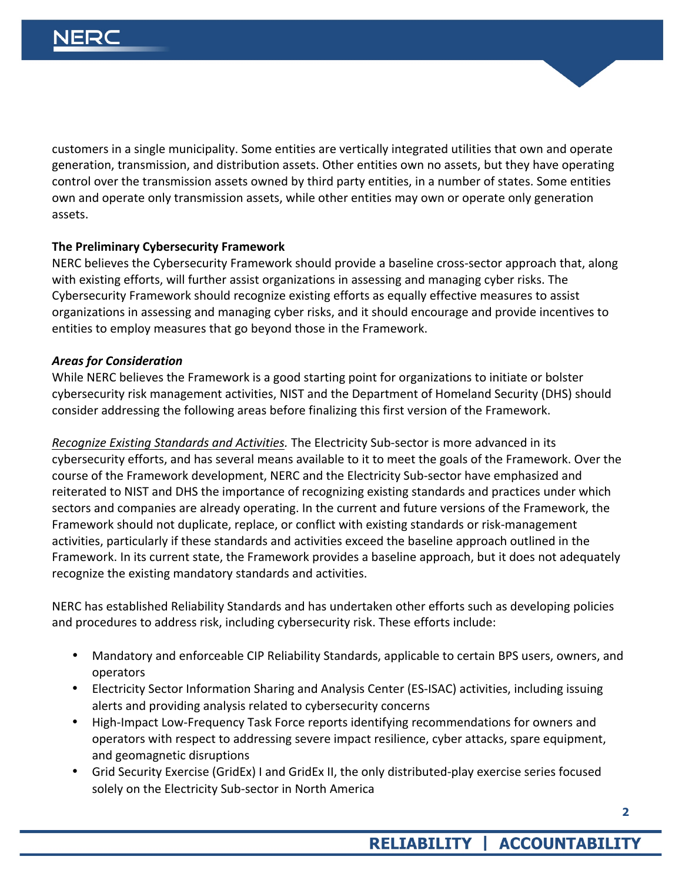customers in a single municipality. Some entities are vertically integrated utilities that own and operate generation, transmission, and distribution assets. Other entities own no assets, but they have operating control over the transmission assets owned by third party entities, in a number of states. Some entities own and operate only transmission assets, while other entities may own or operate only generation assets.

### **The Preliminary Cybersecurity Framework**

NERC believes the Cybersecurity Framework should provide a baseline cross-sector approach that, along with existing efforts, will further assist organizations in assessing and managing cyber risks. The Cybersecurity Framework should recognize existing efforts as equally effective measures to assist organizations in assessing and managing cyber risks, and it should encourage and provide incentives to entities to employ measures that go beyond those in the Framework.

#### *Areas for Consideration*

While NERC believes the Framework is a good starting point for organizations to initiate or bolster cybersecurity risk management activities, NIST and the Department of Homeland Security (DHS) should consider addressing the following areas before finalizing this first version of the Framework.

*Recognize Existing Standards and Activities.* The Electricity Sub-sector is more advanced in its cybersecurity efforts, and has several means available to it to meet the goals of the Framework. Over the course of the Framework development, NERC and the Electricity Sub-sector have emphasized and reiterated to NIST and DHS the importance of recognizing existing standards and practices under which sectors and companies are already operating. In the current and future versions of the Framework, the Framework should not duplicate, replace, or conflict with existing standards or risk-management activities, particularly if these standards and activities exceed the baseline approach outlined in the Framework. In its current state, the Framework provides a baseline approach, but it does not adequately recognize the existing mandatory standards and activities.

NERC has established Reliability Standards and has undertaken other efforts such as developing policies and procedures to address risk, including cybersecurity risk. These efforts include:

- Mandatory and enforceable CIP Reliability Standards, applicable to certain BPS users, owners, and operators
- Electricity Sector Information Sharing and Analysis Center (ES-ISAC) activities, including issuing alerts and providing analysis related to cybersecurity concerns
- High-Impact Low-Frequency Task Force reports identifying recommendations for owners and operators with respect to addressing severe impact resilience, cyber attacks, spare equipment, and geomagnetic disruptions
- Grid Security Exercise (GridEx) I and GridEx II, the only distributed-play exercise series focused solely on the Electricity Sub-sector in North America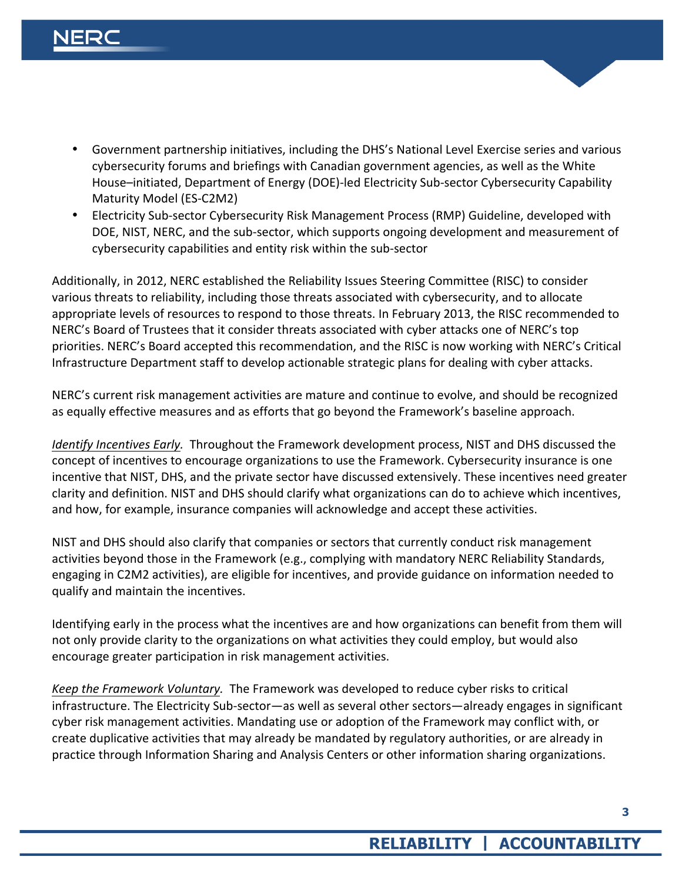- Government partnership initiatives, including the DHS's National Level Exercise series and various cybersecurity forums and briefings with Canadian government agencies, as well as the White House–initiated, Department of Energy (DOE)-led Electricity Sub-sector Cybersecurity Capability Maturity Model (ES-C2M2)
- Electricity Sub-sector Cybersecurity Risk Management Process (RMP) Guideline, developed with DOE, NIST, NERC, and the sub-sector, which supports ongoing development and measurement of cybersecurity capabilities and entity risk within the sub-sector

Additionally, in 2012, NERC established the Reliability Issues Steering Committee (RISC) to consider various threats to reliability, including those threats associated with cybersecurity, and to allocate appropriate levels of resources to respond to those threats. In February 2013, the RISC recommended to NERC's Board of Trustees that it consider threats associated with cyber attacks one of NERC's top priorities. NERC's Board accepted this recommendation, and the RISC is now working with NERC's Critical Infrastructure Department staff to develop actionable strategic plans for dealing with cyber attacks.

NERC's current risk management activities are mature and continue to evolve, and should be recognized as equally effective measures and as efforts that go beyond the Framework's baseline approach.

*Identify Incentives Early.* Throughout the Framework development process, NIST and DHS discussed the concept of incentives to encourage organizations to use the Framework. Cybersecurity insurance is one incentive that NIST, DHS, and the private sector have discussed extensively. These incentives need greater clarity and definition. NIST and DHS should clarify what organizations can do to achieve which incentives, and how, for example, insurance companies will acknowledge and accept these activities.

NIST and DHS should also clarify that companies or sectors that currently conduct risk management activities beyond those in the Framework (e.g., complying with mandatory NERC Reliability Standards, engaging in C2M2 activities), are eligible for incentives, and provide guidance on information needed to qualify and maintain the incentives.

Identifying early in the process what the incentives are and how organizations can benefit from them will not only provide clarity to the organizations on what activities they could employ, but would also encourage greater participation in risk management activities.

*Keep the Framework Voluntary.* The Framework was developed to reduce cyber risks to critical infrastructure. The Electricity Sub-sector—as well as several other sectors—already engages in significant cyber risk management activities. Mandating use or adoption of the Framework may conflict with, or create duplicative activities that may already be mandated by regulatory authorities, or are already in practice through Information Sharing and Analysis Centers or other information sharing organizations.